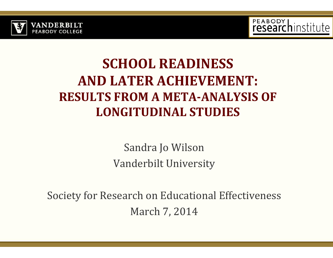



#### **SCHOOL READINESS AND LATER ACHIEVEMENT: RESULTS FROM A META‐ANALYSIS OF LONGITUDINAL STUDIES**

Sandra Jo Wilson Vanderbilt University

Society for Research on Educational Effectiveness March 7, 2014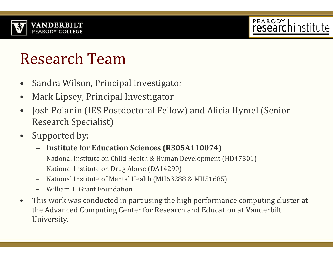

### PEABODY | .

### Research Team

- •Sandra Wilson, Principal Investigator
- •Mark Lipsey, Principal Investigator
- •Josh Polanin (IES Postdoctoral Fellow) and Alicia Hymel (Senior Research Specialist)
- $\bullet$ Supported by:
	- –**Institute for Education Sciences (R305A110074)**
	- –National Institute on Child Health & Human Development (HD47301)
	- –National Institute on Drug Abuse (DA14290)
	- –National Institute of Mental Health (MH63288 & MH51685)
	- William T. Grant Foundation
- •This work was conducted in part using the high performance computing cluster at the Advanced Computing Center for Research and Education at Vanderbilt University.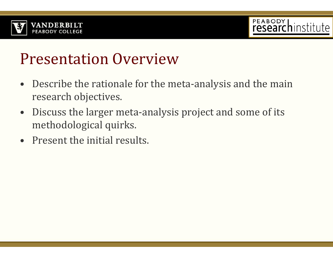



#### **Presentation Overview**

- $\bullet$ Describe the rationale for the meta-analysis and the main research objectives.
- $\bullet$ Discuss the larger meta-analysis project and some of its methodological quirks.
- Present the initial results.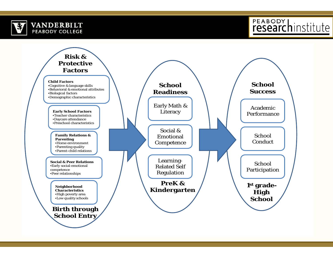

### PEABODY hinstitute

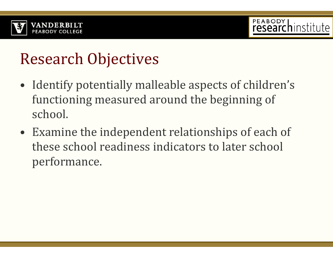



#### Research Objectives

- $\bullet$  Identify potentially malleable aspects of children's functioning measured around the beginning of school.
- $\bullet~$  Examine the independent relationships of each of these school readiness indicators to later school performance.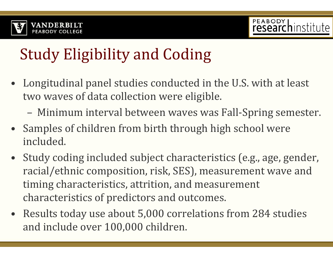

# Study Eligibility and Coding

- $\bullet~$  Longitudinal panel studies conducted in the U.S. with at least two waves of data collection were eligible.
	- Minimum interval between waves was Fall-Spring semester.
- Samples of children from birth through high school were included.
- $\bullet$ Study coding included subject characteristics (e.g., age, gender, racial/ethnic composition, risk, SES), measurement wave and timing characteristics, attrition, and measurement characteristics of predictors and outcomes.
- Results today use about  $5,000$  correlations from 284 studies and include over 100,000 children.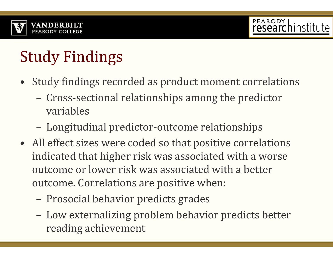

# **Study Findings**

- $\bullet~$  Study findings recorded as product moment correlations
	- –Cross-sectional relationships among the predictor variables
	- –Longitudinal predictor-outcome relationships
- All effect sizes were coded so that positive correlations indicated that higher risk was associated with a worse outcome or lower risk was associated with a better outcome. Correlations are positive when:
	- $\mathcal{L}_{\mathcal{A}}$  , where  $\mathcal{L}_{\mathcal{A}}$  is the set of the set of the set of the set of the set of the set of the set of the set of the set of the set of the set of the set of the set of the set of the set of the set of the Prosocial behavior predicts grades
	- –Low externalizing problem behavior predicts better reading achievement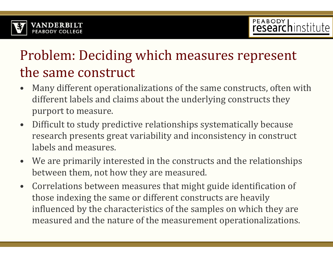

#### Problem: Deciding which measures represent the same construct

- •Many different operationalizations of the same constructs, often with different labels and claims about the underlying constructs they purport to measure.
- $\bullet$ Difficult to study predictive relationships systematically because research presents great variability and inconsistency in construct labels and measures.
- $\bullet$ We are primarily interested in the constructs and the relationships between them, not how they are measured.
- •Correlations between measures that might guide identification of those indexing the same or different constructs are heavily influenced by the characteristics of the samples on which they are measured and the nature of the measurement operationalizations.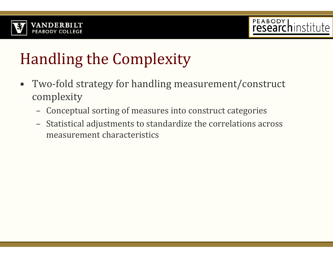



# Handling the Complexity

- $\bullet$ Two-fold strategy for handling measurement/construct complexity
	- Conceptual sorting of measures into construct categories
	- –Statistical adjustments to standardize the correlations across measurement characteristics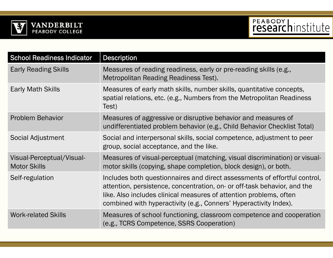



| <b>School Readiness Indicator</b>                | <b>Description</b>                                                                                                                                                                                                                                                                               |
|--------------------------------------------------|--------------------------------------------------------------------------------------------------------------------------------------------------------------------------------------------------------------------------------------------------------------------------------------------------|
| <b>Early Reading Skills</b>                      | Measures of reading readiness, early or pre-reading skills (e.g.,<br>Metropolitan Reading Readiness Test).                                                                                                                                                                                       |
| <b>Early Math Skills</b>                         | Measures of early math skills, number skills, quantitative concepts,<br>spatial relations, etc. (e.g., Numbers from the Metropolitan Readiness<br>Test)                                                                                                                                          |
| <b>Problem Behavior</b>                          | Measures of aggressive or disruptive behavior and measures of<br>undifferentiated problem behavior (e.g., Child Behavior Checklist Total)                                                                                                                                                        |
| Social Adjustment                                | Social and interpersonal skills, social competence, adjustment to peer<br>group, social acceptance, and the like.                                                                                                                                                                                |
| Visual-Perceptual/Visual-<br><b>Motor Skills</b> | Measures of visual-perceptual (matching, visual discrimination) or visual-<br>motor skills (copying, shape completion, block design), or both.                                                                                                                                                   |
| Self-regulation                                  | Includes both questionnaires and direct assessments of effortful control,<br>attention, persistence, concentration, on- or off-task behavior, and the<br>like. Also includes clinical measures of attention problems, often<br>combined with hyperactivity (e.g., Conners' Hyperactivity Index). |
| <b>Work-related Skills</b>                       | Measures of school functioning, classroom competence and cooperation<br>(e.g., TCRS Competence, SSRS Cooperation)                                                                                                                                                                                |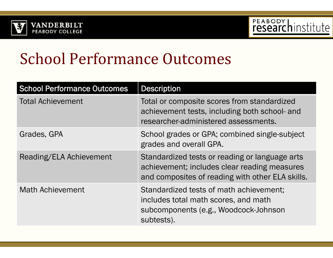



#### School Performance Outcomes

| <b>School Performance Outcomes</b> | <b>Description</b>                                                                                                                                 |  |
|------------------------------------|----------------------------------------------------------------------------------------------------------------------------------------------------|--|
| <b>Total Achievement</b>           | Total or composite scores from standardized<br>achievement tests, including both school- and<br>researcher-administered assessments.               |  |
| Grades, GPA                        | School grades or GPA; combined single-subject<br>grades and overall GPA.                                                                           |  |
| Reading/ELA Achievement            | Standardized tests or reading or language arts<br>achievement; includes clear reading measures<br>and composites of reading with other ELA skills. |  |
| <b>Math Achievement</b>            | Standardized tests of math achievement;<br>includes total math scores, and math<br>subcomponents (e.g., Woodcock-Johnson<br>subtests).             |  |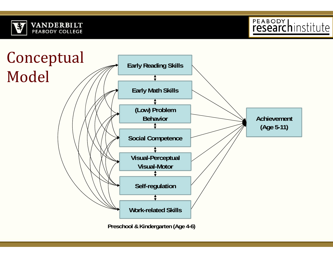



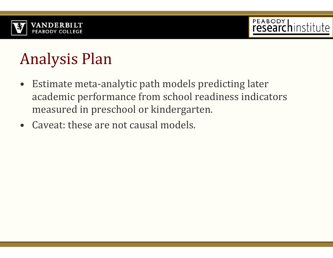



### Analysis Plan

- $\bullet$ Estimate meta-analytic path models predicting later academic performance from school readiness indicators measured in preschool or kindergarten.
- $\bullet$  Caveat: these are not causal models.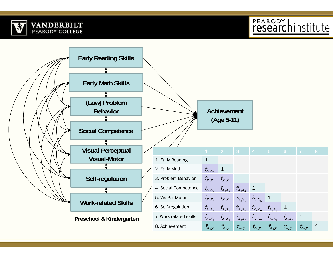

PEABODY hinstitute

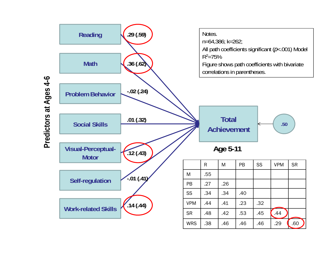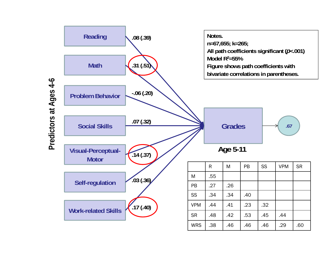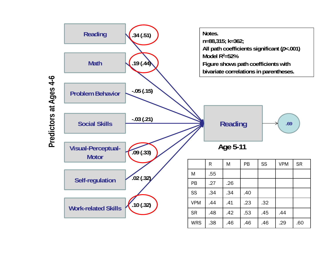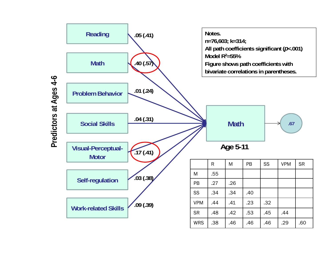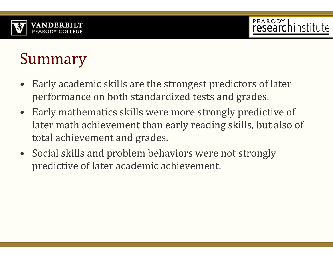

### Summary

- •Early academic skills are the strongest predictors of later performance on both standardized tests and grades.
- Early mathematics skills were more strongly predictive of later math achievement than early reading skills, but also of total achievement and grades.
- Social skills and problem behaviors were not strongly predictive of later academic achievement.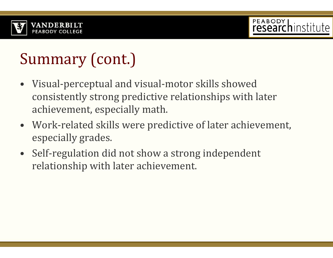

# Summary (cont.)

- Visual-perceptual and visual-motor skills showed consistently strong predictive relationships with later achievement, especially math.
- Work-related skills were predictive of later achievement, especially grades.
- Self-regulation did not show a strong independent relationship with later achievement.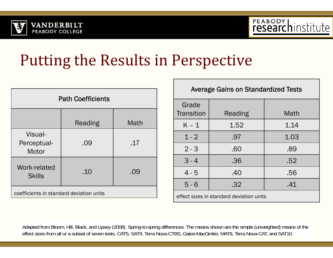



#### Putting the Results in Perspective

| <b>Path Coefficients</b>                 |         |      |  |  |
|------------------------------------------|---------|------|--|--|
|                                          | Reading | Math |  |  |
| Visual-<br>Perceptual-<br>Motor          | .09     | .17  |  |  |
| Work-related<br><b>Skills</b>            | .10     | .09  |  |  |
| coefficients in standard deviation units |         |      |  |  |

| <b>Average Gains on Standardized Tests</b> |                |      |  |  |
|--------------------------------------------|----------------|------|--|--|
| Grade<br>Transition                        | <b>Reading</b> | Math |  |  |
| $K - 1$                                    | 1.52           | 1.14 |  |  |
| $1 - 2$                                    | .97            | 1.03 |  |  |
| $2 - 3$                                    | .60            | .89  |  |  |
| $3 - 4$                                    | .36            | .52  |  |  |
| $4 - 5$                                    | .40            | .56  |  |  |
| $5 - 6$                                    | .32            | .41  |  |  |
| effect sizes in standard deviation units   |                |      |  |  |

Adapted from Bloom, Hill, Black, and Lipsey (2008). Spring-to-spring differences. The means shown are the simple (unweighted) means of the effect sizes from all or a subset of seven tests: CAT5, SAT9, Terra Nova-CTBS, Gates-MacGinitie, MAT8, Terra Nova-CAT, and SAT10.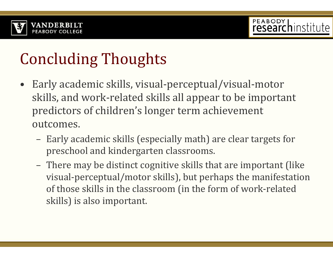

## **Concluding Thoughts**

- •Early academic skills, visual-perceptual/visual-motor skills, and work-related skills all appear to be important predictors of children's longer term achievement outcomes.
	- Early academic skills (especially math) are clear targets for preschool and kindergarten classrooms.
	- There may be distinct cognitive skills that are important (like visual-perceptual/motor skills), but perhaps the manifestation of those skills in the classroom (in the form of work-related skills) is also important.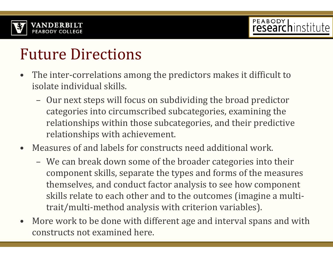

### **Future Directions**

- •The inter-correlations among the predictors makes it difficult to isolate individual skills.
	- Our next steps will focus on subdividing the broad predictor categories into circumscribed subcategories, examining the relationships within those subcategories, and their predictive relationships with achievement.
- •Measures of and labels for constructs need additional work.
	- We can break down some of the broader categories into their component skills, separate the types and forms of the measures themselves, and conduct factor analysis to see how component skills relate to each other and to the outcomes (imagine a multitrait/multi-method analysis with criterion variables).
- •More work to be done with different age and interval spans and with constructs not examined here.